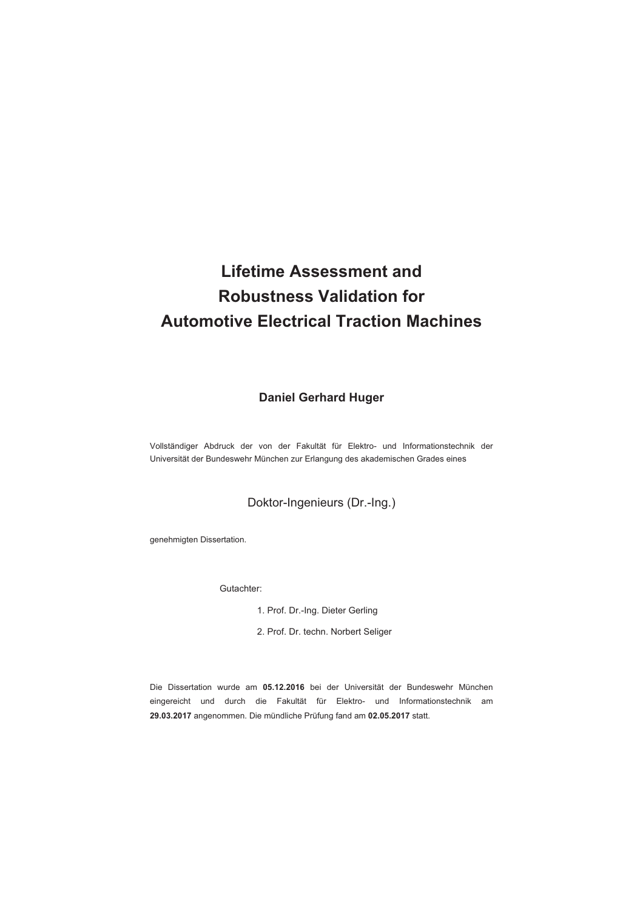# **Lifetime Assessment and Robustness Validation for Automotive Electrical Traction Machines**

### **Daniel Gerhard Huger**

Vollständiger Abdruck der von der Fakultät für Elektro- und Informationstechnik der Universität der Bundeswehr München zur Erlangung des akademischen Grades eines

### Doktor-Ingenieurs (Dr.-Ing.)

genehmigten Dissertation.

Gutachter:

- 1. Prof. Dr.-Ing. Dieter Gerling
- 2. Prof. Dr. techn. Norbert Seliger

Die Dissertation wurde am **05.12.2016** bei der Universität der Bundeswehr München eingereicht und durch die Fakultät für Elektro- und Informationstechnik am **29.03.2017** angenommen. Die mündliche Prüfung fand am **02.05.2017** statt.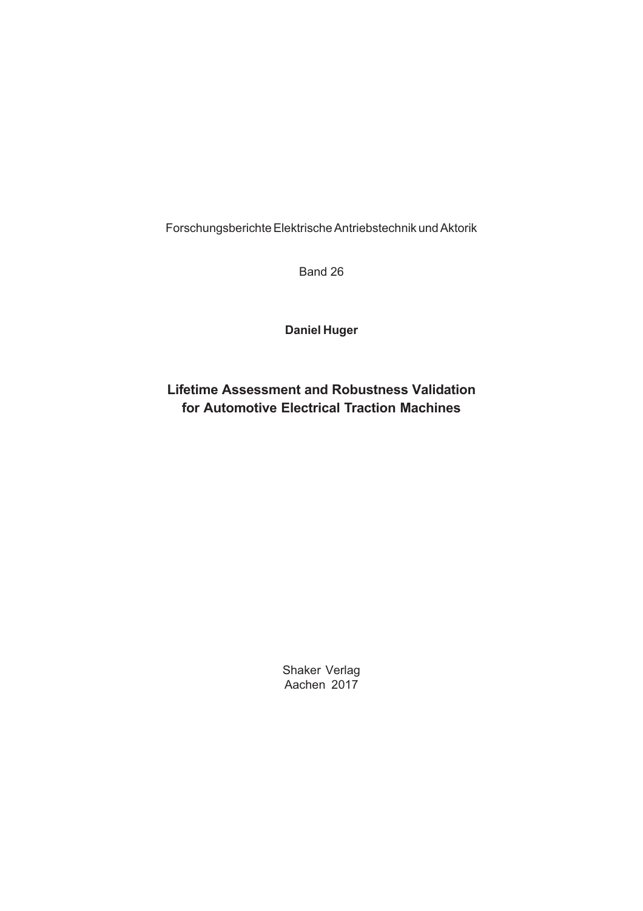Forschungsberichte Elektrische Antriebstechnik und Aktorik

Band 26

**Daniel Huger**

### **Lifetime Assessment and Robustness Validation for Automotive Electrical Traction Machines**

Shaker Verlag Aachen 2017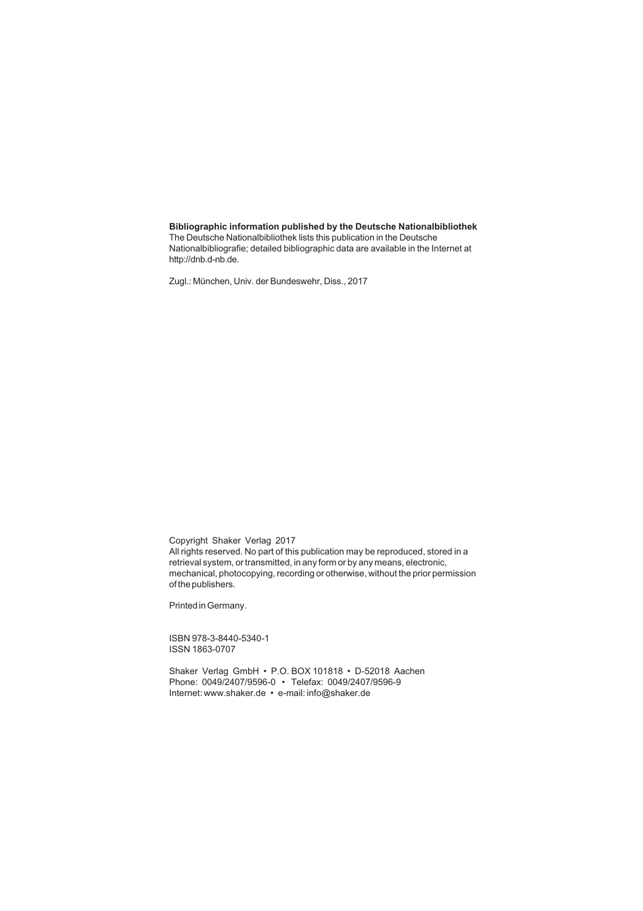#### **Bibliographic information published by the Deutsche Nationalbibliothek**

The Deutsche Nationalbibliothek lists this publication in the Deutsche Nationalbibliografie; detailed bibliographic data are available in the Internet at http://dnb.d-nb.de.

Zugl.: München, Univ. der Bundeswehr, Diss., 2017

Copyright Shaker Verlag 2017

All rights reserved. No part of this publication may be reproduced, stored in a retrieval system, or transmitted, in any form or by any means, electronic, mechanical, photocopying, recording or otherwise, without the prior permission of the publishers.

Printed in Germany.

ISBN 978-3-8440-5340-1 ISSN 1863-0707

Shaker Verlag GmbH • P.O. BOX 101818 • D-52018 Aachen Phone: 0049/2407/9596-0 • Telefax: 0049/2407/9596-9 Internet: www.shaker.de • e-mail: info@shaker.de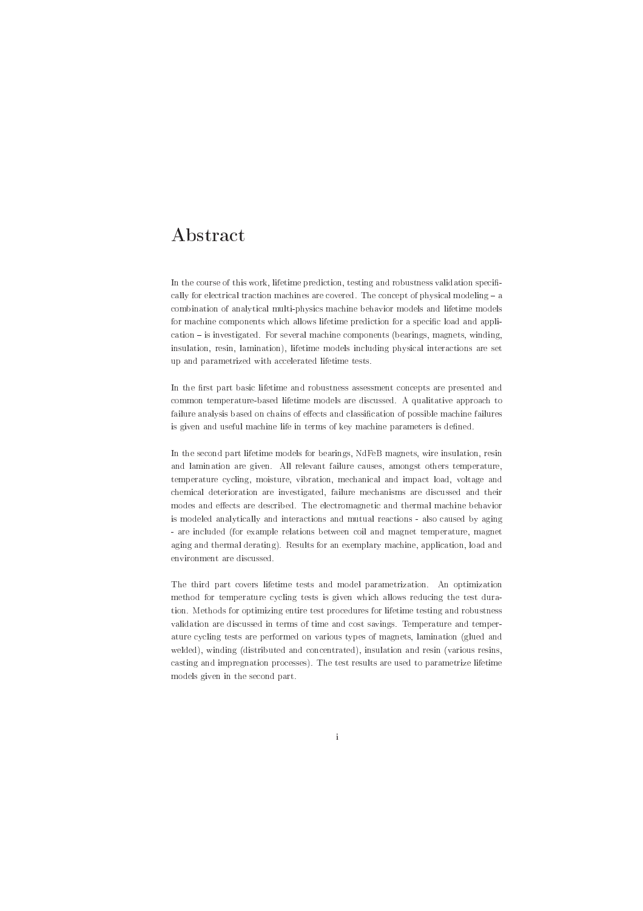### Abstract

In the course of this work, lifetime prediction, testing and robustness validation specifically for electrical traction machines are covered. The concept of physical modeling  $-$  a combination of analytical multi-physics machine behavior models and lifetime models for machine components which allows lifetime prediction for a specific load and appli- $\alpha$  cation – is investigated. For several machine components (bearings, magnets, winding, insulation, resin, lamination), lifetime models including physical interactions are set up and parametrized with accelerated lifetime tests.

In the first part basic lifetime and robustness assessment concepts are presented and common temperature based lifetime models are discussed. A qualitative approach to failure analysis based on chains of effects and classification of possible machine failures is given and useful machine life in terms of key machine parameters is defined.

In the second part lifetime models for bearings, NdFeB magnets, wire insulation, resin and lamination are given. All relevant failure causes, amongst others temperature. temperature cycling, moisture, vibration, mechanical and impact load, voltage and chemical deterioration are investigated, failure mechanisms are discussed and their modes and effects are described. The electromagnetic and thermal machine behavior is modeled analytically and interactions and mutual reactions - also caused by aging - are included (for example relations between coil and magnet temperature, magnet aging and thermal derating). Results for an exemplary machine, application, load and environment are discussed.

The third part covers lifetime tests and model parametrization. An optimization method for temperature cycling tests is given which allows reducing the test duration. Methods for optimizing entire test procedures for lifetime testing and robustness validation are discussed in terms of time and cost savings. Temperature and temperature cycling tests are performed on various types of magnets, lamination (glued and welded), winding (distributed and concentrated), insulation and resin (various resins, casting and impregnation processes). The test results are used to parametrize lifetime models given in the second part.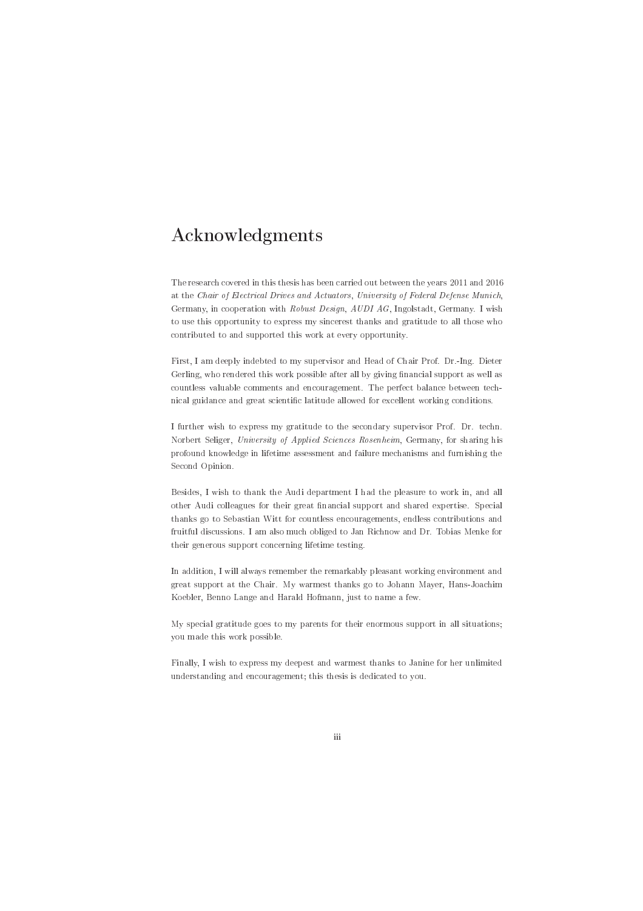## Acknowledgments

The research covered in this thesis has been carried out between the years 2011 and 2016 at the Chair of Electrical Drives and Actuators. University of Federal Defense Munich. Germany, in cooperation with *Robust Design, AUDI AG*, Ingolstadt, Germany, I wish to use this opportunity to express my sincerest thanks and gratitude to all those who contributed to and supported this work at every opportunity.

First, I am deeply indebted to my supervisor and Head of Chair Prof. Dr.-Ing. Dieter Gerling, who rendered this work possible after all by giving financial support as well as countless valuable comments and encouragement. The perfect balance between technical guidance and great scientific latitude allowed for excellent working conditions.

I further wish to express my gratitude to the secondary supervisor Prof. Dr. techn. Norbert Seliger. *University of Applied Sciences Rosenheim*. Germany, for sharing his profound knowledge in lifetime assessment and failure mechanisms and furnishing the Second Opinion.

Besides, I wish to thank the Audi department I had the pleasure to work in, and all other Audi colleagues for their great financial support and shared expertise. Special thanks go to Sebastian Witt for countless encouragements, endless contributions and fruitful discussions. I am also much obliged to Jan Richnow and Dr. Tobias Menke for their generous support concerning lifetime testing.

In addition, I will always remember the remarkably pleasant working environment and great support at the Chair. My warmest thanks go to Johann Mayer, Hans-Joachim Koebler, Benno Lange and Harald Hofmann, just to name a few.

My special gratitude goes to my parents for their enormous support in all situations; you made this work possible.

Finally, I wish to express my deepest and warmest thanks to Janine for her unlimited understanding and encouragement; this thesis is dedicated to you.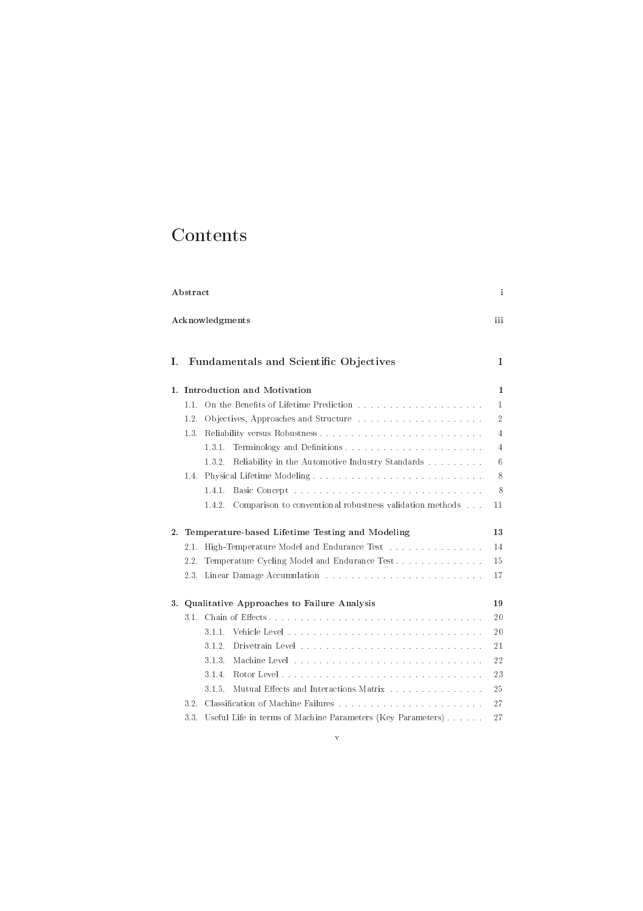## Contents

| Abstract |                 |                                                                    |                |  |  |  |  |
|----------|-----------------|--------------------------------------------------------------------|----------------|--|--|--|--|
|          | Acknowledgments |                                                                    |                |  |  |  |  |
| Ι.       |                 | <b>Fundamentals and Scientific Objectives</b>                      | $\mathbf 1$    |  |  |  |  |
| 1.       |                 | Introduction and Motivation                                        | 1              |  |  |  |  |
|          | 1.1.            |                                                                    | 1              |  |  |  |  |
|          | 1.2.            | Objectives, Approaches and Structure                               | $\overline{2}$ |  |  |  |  |
|          | 1.3.            |                                                                    | 4              |  |  |  |  |
|          |                 | 1.3.1.                                                             | $\overline{4}$ |  |  |  |  |
|          |                 | Reliability in the Automotive Industry Standards<br>1.3.2.         | 6              |  |  |  |  |
|          | 1.4.            |                                                                    | 8              |  |  |  |  |
|          |                 | 1.4.1.                                                             | 8              |  |  |  |  |
|          |                 | 1.4.2.<br>Comparison to conventional robustness validation methods | 11             |  |  |  |  |
| 2.       |                 | Temperature-based Lifetime Testing and Modeling                    | 13             |  |  |  |  |
|          | 2.1.            | High-Temperature Model and Endurance Test                          | 14             |  |  |  |  |
|          | 2.2.            | Temperature Cycling Model and Endurance Test                       | 15             |  |  |  |  |
|          | 2.3.            |                                                                    | 17             |  |  |  |  |
|          |                 | 3. Qualitative Approaches to Failure Analysis                      | 19             |  |  |  |  |
|          | 3.1.            | Chain of Effects                                                   | 20             |  |  |  |  |
|          |                 | 3.1.1.                                                             | 20             |  |  |  |  |
|          |                 | 3.1.2.                                                             | 21             |  |  |  |  |
|          |                 | 3.1.3.                                                             | 22             |  |  |  |  |
|          |                 | 3.1.4.                                                             | 23             |  |  |  |  |
|          |                 | Mutual Effects and Interactions Matrix<br>315                      | 25             |  |  |  |  |
|          | 3.2.            |                                                                    |                |  |  |  |  |
|          | 3.3.            | Useful Life in terms of Machine Parameters (Key Parameters)        | 27             |  |  |  |  |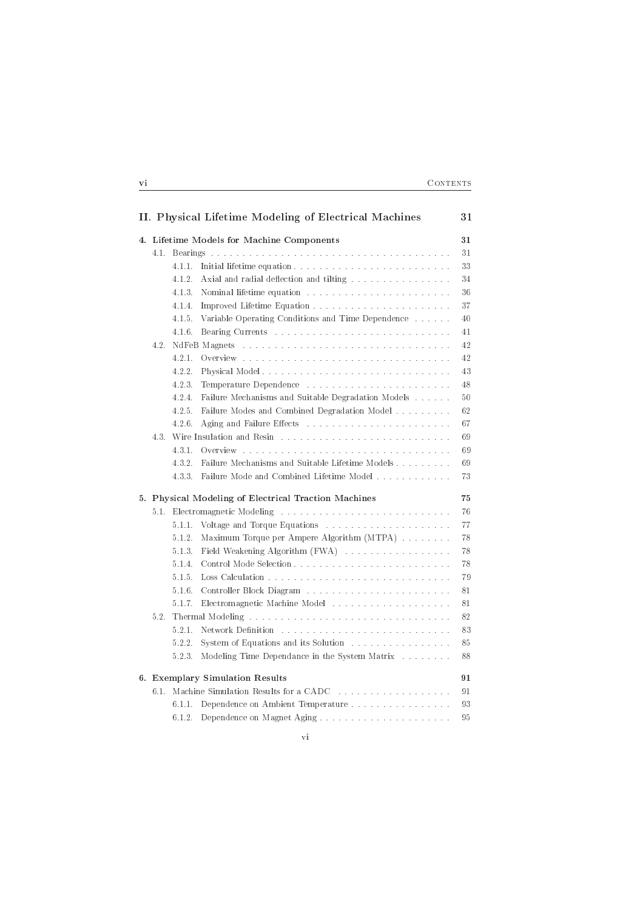|                                                      |        | II. Physical Lifetime Modeling of Electrical Machines | 31 |  |  |
|------------------------------------------------------|--------|-------------------------------------------------------|----|--|--|
|                                                      |        | 4. Lifetime Models for Machine Components             | 31 |  |  |
|                                                      |        |                                                       | 31 |  |  |
|                                                      | 4.1.1. |                                                       | 33 |  |  |
|                                                      | 4.1.2. | Axial and radial deflection and tilting               | 34 |  |  |
|                                                      | 4.1.3. |                                                       | 36 |  |  |
|                                                      | 4.1.4. |                                                       | 37 |  |  |
|                                                      | 4.1.5. | Variable Operating Conditions and Time Dependence     | 40 |  |  |
|                                                      | 4.1.6. |                                                       | 41 |  |  |
| 4.2.                                                 |        |                                                       | 42 |  |  |
|                                                      | 4.2.1. |                                                       | 42 |  |  |
|                                                      | 4.2.2. |                                                       | 43 |  |  |
|                                                      | 4.2.3. | Temperature Dependence                                | 48 |  |  |
|                                                      | 4.2.4. | Failure Mechanisms and Suitable Degradation Models    | 50 |  |  |
|                                                      | 4.2.5. | Failure Modes and Combined Degradation Model          | 62 |  |  |
|                                                      | 4.2.6. |                                                       | 67 |  |  |
|                                                      |        | 4.3. Wire Insulation and Resin                        | 69 |  |  |
|                                                      | 4.3.1. |                                                       | 69 |  |  |
|                                                      | 4.3.2. | Failure Mechanisms and Suitable Lifetime Models       | 69 |  |  |
|                                                      | 4.3.3. | Failure Mode and Combined Lifetime Model              | 73 |  |  |
| 5. Physical Modeling of Electrical Traction Machines |        |                                                       |    |  |  |
|                                                      |        |                                                       | 76 |  |  |
|                                                      |        | 5.1.1. Voltage and Torque Equations                   | 77 |  |  |
|                                                      | 5.1.2. | Maximum Torque per Ampere Algorithm (MTPA)            | 78 |  |  |
|                                                      | 5.1.3. | Field Weakening Algorithm (FWA)                       | 78 |  |  |
|                                                      | 5.1.4. |                                                       | 78 |  |  |
|                                                      | 5.1.5. |                                                       | 79 |  |  |
|                                                      | 5.1.6. |                                                       | 81 |  |  |
|                                                      | 5.1.7. |                                                       | 81 |  |  |
| 5.2.                                                 |        |                                                       | 82 |  |  |
|                                                      | 5.2.1. |                                                       | 83 |  |  |
|                                                      | 5.2.2. | System of Equations and its Solution                  | 85 |  |  |
|                                                      | 5.2.3. | Modeling Time Dependance in the System Matrix         | 88 |  |  |
|                                                      |        | 6. Exemplary Simulation Results                       | 91 |  |  |
|                                                      |        | 6.1. Machine Simulation Results for a CADC            | 91 |  |  |
|                                                      | 6.1.1. | Dependence on Ambient Temperature                     | 93 |  |  |
|                                                      | 6.1.2. |                                                       | 95 |  |  |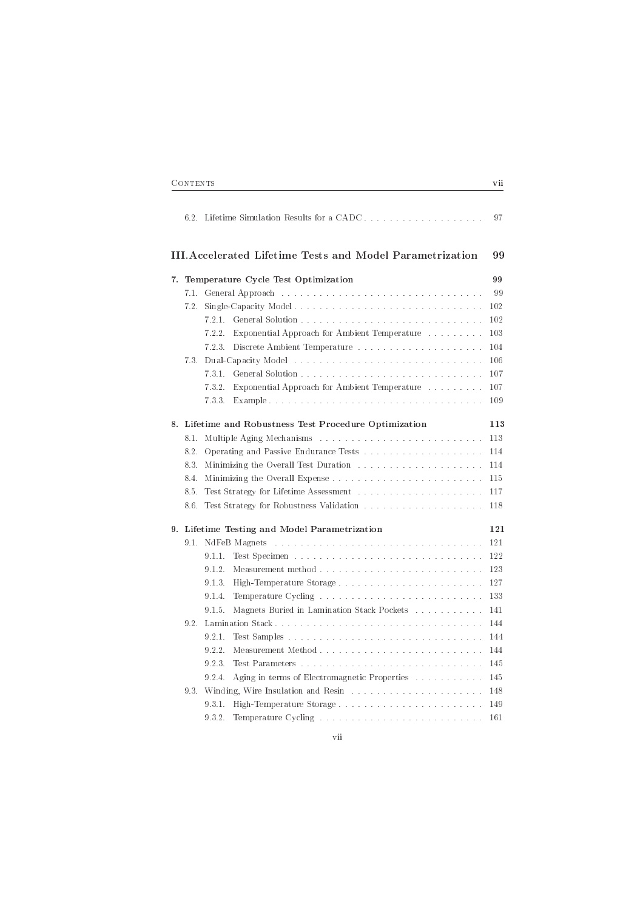|      | 6.2. Lifetime Simulation Results for a CADC               | 97  |
|------|-----------------------------------------------------------|-----|
|      | III. Accelerated Lifetime Tests and Model Parametrization | 99  |
|      | 7. Temperature Cycle Test Optimization                    | 99  |
| 7.1. |                                                           | 99  |
| 7.2. |                                                           | 102 |
|      | 7.2.1.                                                    | 102 |
|      | Exponential Approach for Ambient Temperature<br>7.2.2.    | 103 |
|      | 7.2.3.                                                    | 104 |
| 7.3. |                                                           | 106 |
|      | 7.3.1.                                                    | 107 |
|      | Exponential Approach for Ambient Temperature<br>7.3.2.    | 107 |
|      | 7.3.3.                                                    | 109 |
|      | 8. Lifetime and Robustness Test Procedure Optimization    | 113 |
| 8.1. |                                                           | 113 |
| 8.2. |                                                           | 114 |
| 8.3. |                                                           | 114 |
| 8.4. |                                                           | 115 |
| 8.5. |                                                           | 117 |
| 8.6. | Test Strategy for Robustness Validation                   | 118 |
|      | 9. Lifetime Testing and Model Parametrization             | 121 |
| 9.1. |                                                           | 121 |
|      | 9.1.1.                                                    | 122 |
|      | 9.1.2.                                                    | 123 |
|      | 9.1.3.                                                    | 127 |
|      | 9.1.4.                                                    | 133 |
|      | 9.1.5.<br>Magnets Buried in Lamination Stack Pockets      | 141 |
| 9.2  |                                                           | 144 |
|      | 9.2.1.                                                    | 144 |
|      | 9.2.2.                                                    | 144 |
|      | 9.2.3.                                                    | 145 |
|      | 9.2.4.<br>Aging in terms of Electromagnetic Properties    | 145 |
|      | 9.3. Winding, Wire Insulation and Resin                   | 148 |
|      | 9.3.1.                                                    | 149 |
|      | 9.3.2.                                                    | 161 |